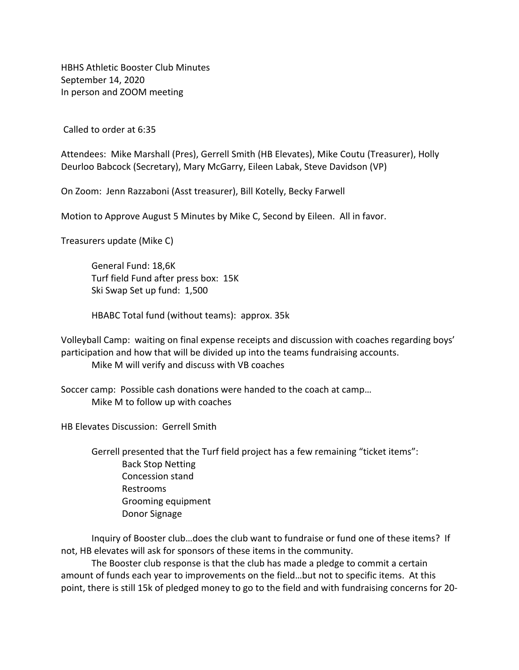HBHS Athletic Booster Club Minutes September 14, 2020 In person and ZOOM meeting

Called to order at 6:35

Attendees: Mike Marshall (Pres), Gerrell Smith (HB Elevates), Mike Coutu (Treasurer), Holly Deurloo Babcock (Secretary), Mary McGarry, Eileen Labak, Steve Davidson (VP)

On Zoom: Jenn Razzaboni (Asst treasurer), Bill Kotelly, Becky Farwell

Motion to Approve August 5 Minutes by Mike C, Second by Eileen. All in favor.

Treasurers update (Mike C)

General Fund: 18,6K Turf field Fund after press box: 15K Ski Swap Set up fund: 1,500

HBABC Total fund (without teams): approx. 35k

Volleyball Camp: waiting on final expense receipts and discussion with coaches regarding boys' participation and how that will be divided up into the teams fundraising accounts. Mike M will verify and discuss with VB coaches

Soccer camp: Possible cash donations were handed to the coach at camp… Mike M to follow up with coaches

HB Elevates Discussion: Gerrell Smith

Gerrell presented that the Turf field project has a few remaining "ticket items": Back Stop Netting Concession stand Restrooms Grooming equipment Donor Signage

Inquiry of Booster club…does the club want to fundraise or fund one of these items? If not, HB elevates will ask for sponsors of these items in the community.

The Booster club response is that the club has made a pledge to commit a certain amount of funds each year to improvements on the field…but not to specific items. At this point, there is still 15k of pledged money to go to the field and with fundraising concerns for 20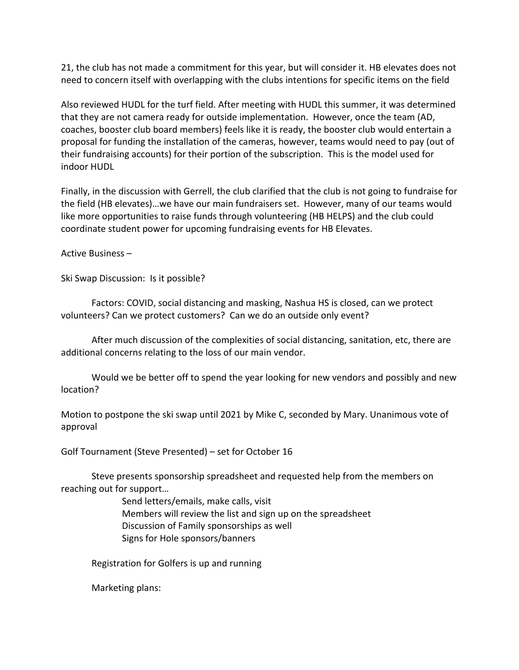21, the club has not made a commitment for this year, but will consider it. HB elevates does not need to concern itself with overlapping with the clubs intentions for specific items on the field

Also reviewed HUDL for the turf field. After meeting with HUDL this summer, it was determined that they are not camera ready for outside implementation. However, once the team (AD, coaches, booster club board members) feels like it is ready, the booster club would entertain a proposal for funding the installation of the cameras, however, teams would need to pay (out of their fundraising accounts) for their portion of the subscription. This is the model used for indoor HUDL

Finally, in the discussion with Gerrell, the club clarified that the club is not going to fundraise for the field (HB elevates)…we have our main fundraisers set. However, many of our teams would like more opportunities to raise funds through volunteering (HB HELPS) and the club could coordinate student power for upcoming fundraising events for HB Elevates.

Active Business –

Ski Swap Discussion: Is it possible?

Factors: COVID, social distancing and masking, Nashua HS is closed, can we protect volunteers? Can we protect customers? Can we do an outside only event?

After much discussion of the complexities of social distancing, sanitation, etc, there are additional concerns relating to the loss of our main vendor.

Would we be better off to spend the year looking for new vendors and possibly and new location?

Motion to postpone the ski swap until 2021 by Mike C, seconded by Mary. Unanimous vote of approval

Golf Tournament (Steve Presented) – set for October 16

Steve presents sponsorship spreadsheet and requested help from the members on reaching out for support…

> Send letters/emails, make calls, visit Members will review the list and sign up on the spreadsheet Discussion of Family sponsorships as well Signs for Hole sponsors/banners

Registration for Golfers is up and running

Marketing plans: